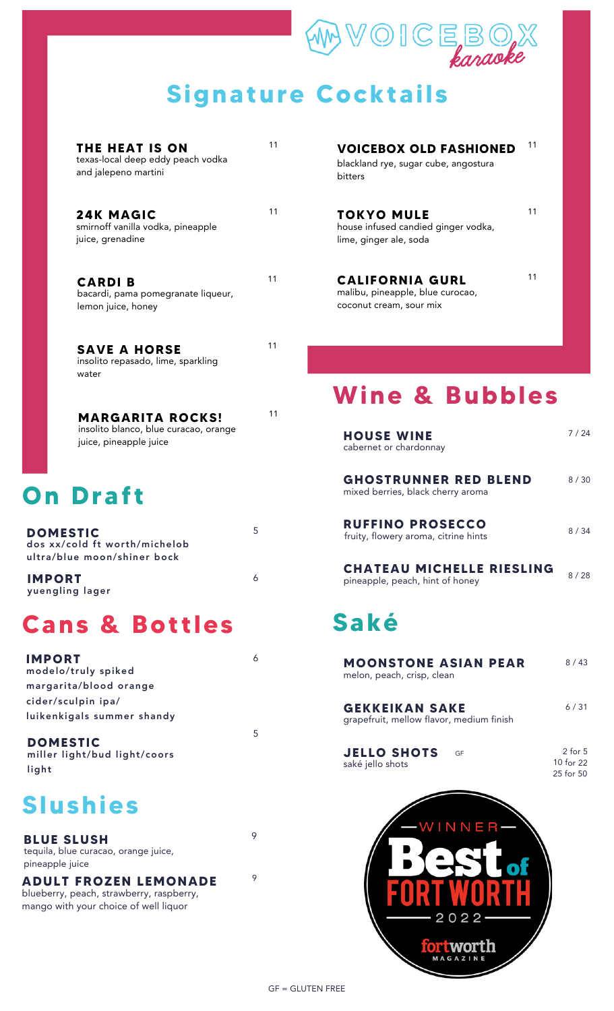# $\mathbb{V} \odot \mathbb{IC} \boxtimes \otimes \mathbb{R}$ karaoke **Signature Cocktails**

| THE HEAT IS ON<br>texas-local deep eddy peach vodka<br>and jalepeno martini | 11 |
|-----------------------------------------------------------------------------|----|
| <b>24K MAGIC</b><br>smirnoff vanilla vodka, pineapple<br>juice, grenadine   | 11 |
| <b>CARDIB</b><br>bacardi, pama pomegranate liqueur,<br>lemon juice, honey   | 11 |
| <b>SAVE A HORSE</b><br>insolito repasado, lime, sparkling<br>water          | 11 |

**MARGARITA ROCKS!** insolito blanco, blue curacao, orange juice, pineapple juice

#### **On Draf t**

| <b>DOMESTIC</b><br>dos xx/cold ft worth/michelob<br>ultra/blue moon/shiner bock | b. |
|---------------------------------------------------------------------------------|----|
| <b>IMPORT</b><br>yuengling lager                                                |    |

#### **Cans & Bot t les**

| <b>IMPORT</b>              |
|----------------------------|
| modelo/truly spiked        |
| margarita/blood orange     |
| cider/sculpin ipa/         |
| luikenkigals summer shandy |

**DOMESTIC** miller light/bud light/coors light

#### **Slushies**

**BLUE SLUSH** tequila, blue curacao, orange juice, pineapple juice

**ADULT FROZEN LEMONADE** blueberry, peach, strawberry, raspberry, mango with your choice of well liquor

**VOICEBOX OLD FASHIONED** blackland rye, sugar cube, angostura bitters 11

11

11

**TOKYO MULE** house infused candied ginger vodka, lime, ginger ale, soda

**CALIFORNIA GURL** malibu, pineapple, blue curocao, coconut cream, sour mix

**Wine & Bubbles**

| <b>HOUSE WINE</b><br>cabernet or chardonnay                         | 7 / 24 |
|---------------------------------------------------------------------|--------|
| <b>GHOSTRUNNER RED BLEND</b><br>mixed berries, black cherry aroma   | 8 / 30 |
| <b>RUFFINO PROSECCO</b><br>fruity, flowery aroma, citrine hints     | 8 / 34 |
| <b>CHATEAU MICHELLE RIESLING</b><br>pineapple, peach, hint of honey | 8 / 28 |
|                                                                     |        |

## **Saké**

| <b>MOONSTONE ASIAN PEAR</b><br>melon, peach, crisp, clean         | $8/43$                                |
|-------------------------------------------------------------------|---------------------------------------|
| <b>GEKKEIKAN SAKE</b><br>grapefruit, mellow flavor, medium finish | 6/31                                  |
| <b>JELLO SHOTS</b><br>GF<br>saké jello shots                      | $2$ for $5$<br>10 for 22<br>25 for 50 |
| -WINNER                                                           |                                       |



9

6

11

5

9